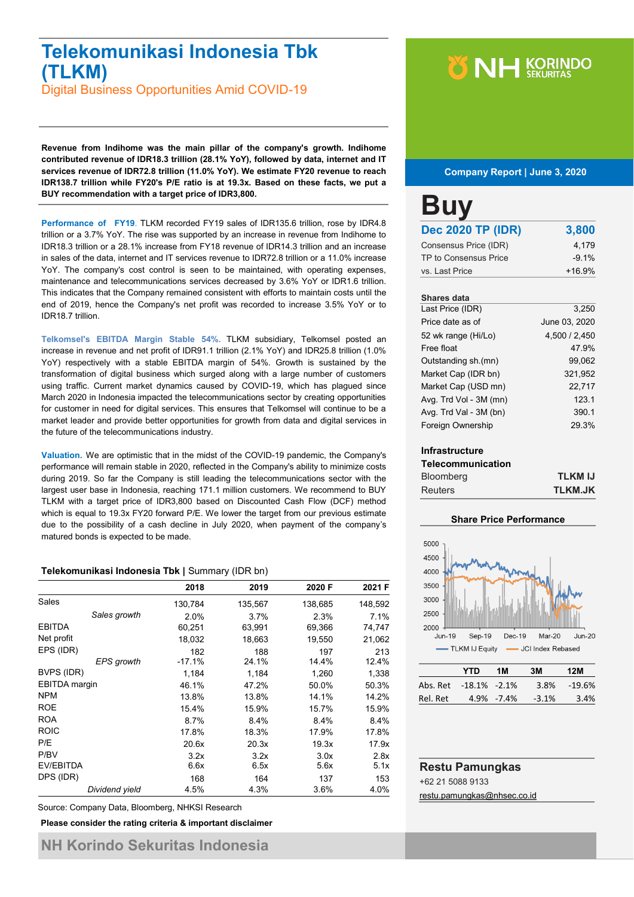# **Telekomunikasi Indonesia Tbk (TLKM)**

Digital Business Opportunities Amid COVID-19

**Revenue from Indihome was the main pillar of the company's growth. Indihome contributed revenue of IDR18.3 trillion (28.1% YoY), followed by data, internet and IT services revenue of IDR72.8 trillion (11.0% YoY). We estimate FY20 revenue to reach IDR138.7 trillion while FY20's P/E ratio is at 19.3x. Based on these facts, we put a BUY recommendation with a target price of IDR3,800.**

**Performance of FY19**. TLKM recorded FY19 sales of IDR135.6 trillion, rose by IDR4.8 trillion or a 3.7% YoY. The rise was supported by an increase in revenue from Indihome to IDR18.3 trillion or a 28.1% increase from FY18 revenue of IDR14.3 trillion and an increase in sales of the data, internet and IT services revenue to IDR72.8 trillion or a 11.0% increase YoY. The company's cost control is seen to be maintained, with operating expenses, maintenance and telecommunications services decreased by 3.6% YoY or IDR1.6 trillion. This indicates that the Company remained consistent with efforts to maintain costs until the end of 2019, hence the Company's net profit was recorded to increase 3.5% YoY or to IDR18.7 trillion.

**Telkomsel's EBITDA Margin Stable 54%.** TLKM subsidiary, Telkomsel posted an increase in revenue and net profit of IDR91.1 trillion (2.1% YoY) and IDR25.8 trillion (1.0% YoY) respectively with a stable EBITDA margin of 54%. Growth is sustained by the transformation of digital business which surged along with a large number of customers using traffic. Current market dynamics caused by COVID-19, which has plagued since March 2020 in Indonesia impacted the telecommunications sector by creating opportunities for customer in need for digital services. This ensures that Telkomsel will continue to be a market leader and provide better opportunities for growth from data and digital services in the future of the telecommunications industry.

**Valuation.** We are optimistic that in the midst of the COVID-19 pandemic, the Company's performance will remain stable in 2020, reflected in the Company's ability to minimize costs during 2019. So far the Company is still leading the telecommunications sector with the largest user base in Indonesia, reaching 171.1 million customers. We recommend to BUY TLKM with a target price of IDR3,800 based on Discounted Cash Flow (DCF) method which is equal to 19.3x FY20 forward P/E. We lower the target from our previous estimate due to the possibility of a cash decline in July 2020, when payment of the company's matured bonds is expected to be made.

### **Telekomunikasi Indonesia Tbk |** Summary (IDR bn)

|                                | 2018            | 2019         | 2020 F       | 2021 F       |
|--------------------------------|-----------------|--------------|--------------|--------------|
| Sales                          | 130,784         | 135,567      | 138,685      | 148,592      |
| Sales growth                   | 2.0%            | 3.7%         | 2.3%         | 7.1%         |
| <b>EBITDA</b>                  | 60,251          | 63,991       | 69,366       | 74,747       |
| Net profit                     | 18,032          | 18,663       | 19,550       | 21,062       |
| EPS (IDR)<br><b>EPS</b> growth | 182<br>$-17.1%$ | 188<br>24.1% | 197<br>14.4% | 213<br>12.4% |
| BVPS (IDR)                     | 1,184           | 1,184        | 1,260        | 1,338        |
| <b>EBITDA</b> margin           | 46.1%           | 47.2%        | 50.0%        | 50.3%        |
| <b>NPM</b>                     | 13.8%           | 13.8%        | 14.1%        | 14.2%        |
| <b>ROE</b>                     | 15.4%           | 15.9%        | 15.7%        | 15.9%        |
| <b>ROA</b>                     | 8.7%            | 8.4%         | 8.4%         | 8.4%         |
| <b>ROIC</b>                    | 17.8%           | 18.3%        | 17.9%        | 17.8%        |
| P/E                            | 20.6x           | 20.3x        | 19.3x        | 17.9x        |
| P/BV<br>EV/EBITDA              | 3.2x<br>6.6x    | 3.2x<br>6.5x | 3.0x<br>5.6x | 2.8x<br>5.1x |
| DPS (IDR)                      | 168             | 164          | 137          | 153          |
| Dividend yield                 | 4.5%            | 4.3%         | 3.6%         | 4.0%         |

Source: Company Data, Bloomberg, NHKSI Research

**Please consider the rating criteria & important disclaimer**

# **Y NH KORINDO**

### **Company Report | June 3, 2020**

| <b>Buy</b>               |          |
|--------------------------|----------|
| <b>Dec 2020 TP (IDR)</b> | 3,800    |
| Consensus Price (IDR)    | 4.179    |
| TP to Consensus Price    | $-9.1%$  |
| vs. Last Price           | $+16.9%$ |
|                          |          |

### **Shares data**

| Last Price (IDR)       | 3.250         |
|------------------------|---------------|
| Price date as of       | June 03, 2020 |
| 52 wk range (Hi/Lo)    | 4.500 / 2.450 |
| Free float             | 47.9%         |
| Outstanding sh.(mn)    | 99,062        |
| Market Cap (IDR bn)    | 321,952       |
| Market Cap (USD mn)    | 22,717        |
| Avg. Trd Vol - 3M (mn) | 123.1         |
| Avg. Trd Val - 3M (bn) | 390.1         |
| Foreign Ownership      | 29.3%         |

### **Infrastructure**

| <b>Telecommunication</b> |                |
|--------------------------|----------------|
| <b>Bloomberg</b>         | <b>TLKM IJ</b> |
| <b>Reuters</b>           | <b>TLKM.JK</b> |



|                       | YTD | 1M         | 3M      | 12M    |
|-----------------------|-----|------------|---------|--------|
| Abs. Ret -18.1% -2.1% |     |            | 3.8%    | -19.6% |
| Rel. Ret              |     | 4.9% -7.4% | $-3.1%$ | 3.4%   |

# **Restu Pamungkas** +62 21 5088 9133

[restu.pamungkas@nhsec.co.id](mailto:restu.pamungkas@nhsec.co.id)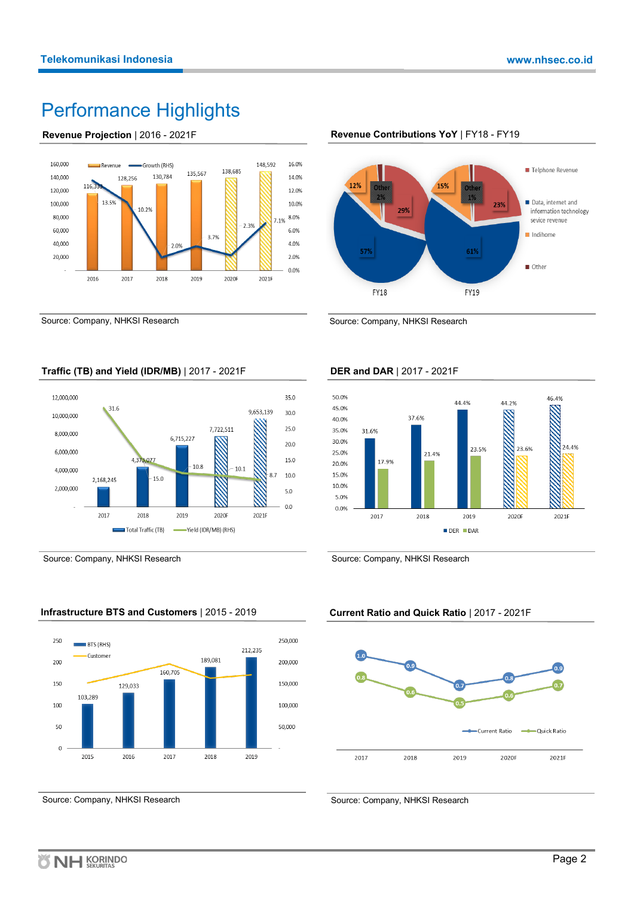# Performance Highlights

## **Revenue Projection** | 2016 - 2021F



Source: Company, NHKSI Research



# **Revenue Contributions YoY** | FY18 - FY19

Source: Company, NHKSI Research



Yield (IDR/MB) (RHS)

Source: Company, NHKSI Research

# **Infrastructure BTS and Customers** | 2015 - 2019

Total Traffic (TB)



Source: Company, NHKSI Research

# **DER and DAR** | 2017 - 2021F



Source: Company, NHKSI Research

# **Current Ratio and Quick Ratio** | 2017 - 2021F



Source: Company, NHKSI Research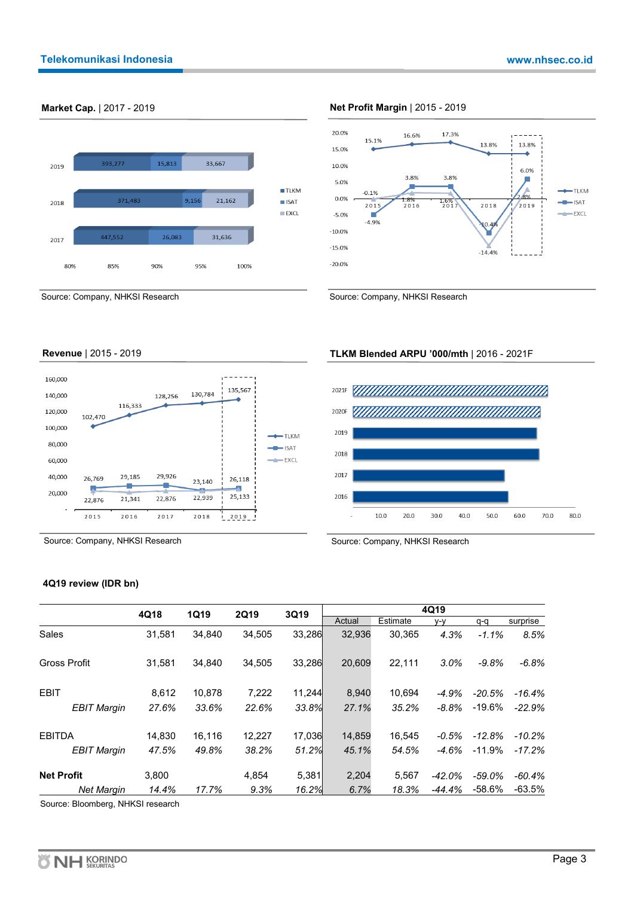

### **Market Cap.** | 2017 - 2019 **Net Profit Margin** | 2015 - 2019



# **Revenue** | 2015 - 2019



Source: Company, NHKSI Research

## **4Q19 review (IDR bn)**

|                     | 4Q18   | <b>1Q19</b> | <b>2Q19</b><br>3Q19 |        |        | 4Q19     |          |           |          |  |  |
|---------------------|--------|-------------|---------------------|--------|--------|----------|----------|-----------|----------|--|--|
|                     |        |             |                     |        | Actual | Estimate | v-v      | q-q       | surprise |  |  |
| <b>Sales</b>        | 31,581 | 34,840      | 34.505              | 33,286 | 32,936 | 30.365   | 4.3%     | $-1.1%$   | 8.5%     |  |  |
| <b>Gross Profit</b> | 31,581 | 34.840      | 34,505              | 33,286 | 20,609 | 22.111   | 3.0%     | $-9.8%$   | $-6.8%$  |  |  |
| <b>EBIT</b>         | 8.612  | 10.878      | 7,222               | 11.244 | 8,940  | 10.694   | $-4.9%$  | $-20.5%$  | $-16.4%$ |  |  |
| <b>EBIT Margin</b>  | 27.6%  | 33.6%       | 22.6%               | 33.8%  | 27.1%  | 35.2%    | $-8.8%$  | $-19.6\%$ | $-22.9%$ |  |  |
| <b>EBITDA</b>       | 14.830 | 16.116      | 12,227              | 17.036 | 14,859 | 16.545   | $-0.5%$  | $-12.8%$  | $-10.2%$ |  |  |
| <b>EBIT Margin</b>  | 47.5%  | 49.8%       | 38.2%               | 51.2%  | 45.1%  | 54.5%    | $-4.6%$  | $-11.9%$  | $-17.2%$ |  |  |
| <b>Net Profit</b>   | 3.800  |             | 4,854               | 5.381  | 2.204  | 5.567    | $-42.0%$ | -59.0%    | $-60.4%$ |  |  |
| <b>Net Margin</b>   | 14.4%  | 17.7%       | 9.3%                | 16.2%  | 6.7%   | 18.3%    | $-44.4%$ | $-58.6%$  | $-63.5%$ |  |  |

Source: Bloomberg, NHKSI research

# **TLKM Blended ARPU '000/mth** | 2016 - 2021F



Source: Company, NHKSI Research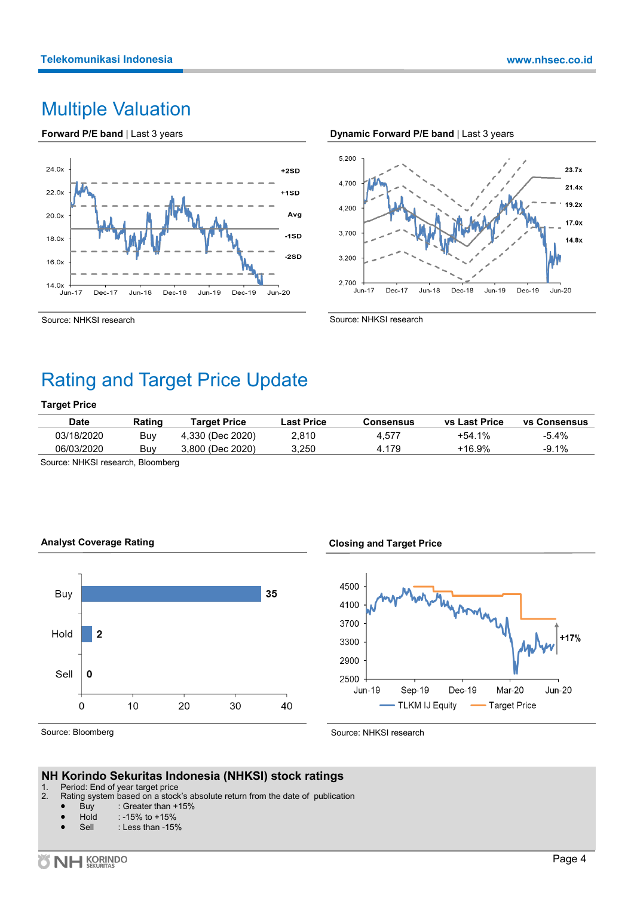# Multiple Valuation

**Forward P/E band** | Last 3 years



## **Dynamic Forward P/E band** | Last 3 years



Source: NHKSI research

Source: NHKSI research

# Rating and Target Price Update

## **Target Price**

| Date       | Rating | Target Price     | Last Price | Consensus | <b>vs Last Price</b> | <b>vs Consensus</b> |
|------------|--------|------------------|------------|-----------|----------------------|---------------------|
| 03/18/2020 | Buv    | 4,330 (Dec 2020) | 2.810      | 4.577     | +54.1%               | $-5.4\%$            |
| 06/03/2020 | Buv    | 3.800 (Dec 2020) | 3.250      | 4.179     | +16.9%               | $-9.1\%$            |

Source: NHKSI research, Bloomberg





**Closing and Target Price** 



Source: Bloomberg

Source: NHKSI research

# **NH Korindo Sekuritas Indonesia (NHKSI) stock ratings**

- 1. Period: End of year target price<br>2. Rating system based on a stock
- Rating system based on a stock's absolute return from the date of publication
	- Buy : Greater than  $+15%$ <br>Hold : -15% to  $+15%$
	- $: -15\%$  to  $+15\%$
	- Sell : Less than -15%